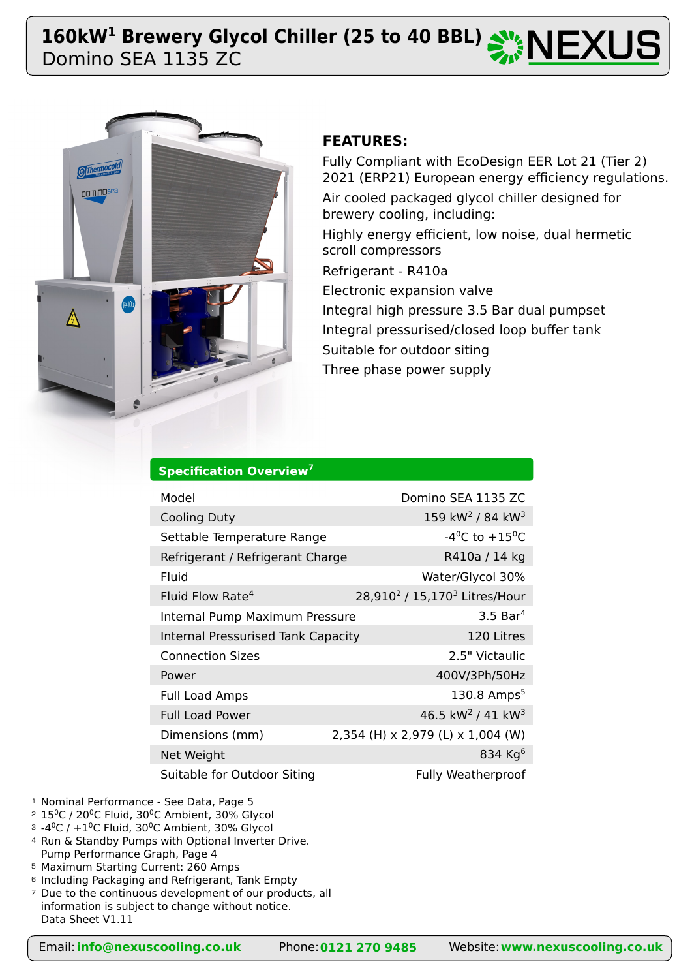# Domino SEA 1135 ZC 160kW<sup>1</sup> Brewery Glycol Chiller (25 to 40 BBL)  $\mathbb{Z}$  **NEXUS**



# **FEATURES:**

Fully Compliant with EcoDesign EER Lot 21 (Tier 2) 2021 (ERP21) European energy efficiency regulations. Air cooled packaged glycol chiller designed for brewery cooling, including: Highly energy efficient, low noise, dual hermetic scroll compressors Refrigerant - R410a Electronic expansion valve Integral high pressure 3.5 Bar dual pumpset Integral pressurised/closed loop buffer tank Suitable for outdoor siting Three phase power supply

| Specification Overview <sup>7</sup> |  |
|-------------------------------------|--|
|                                     |  |

| Model                                     | Domino SEA 1135 ZC                                    |
|-------------------------------------------|-------------------------------------------------------|
| <b>Cooling Duty</b>                       | 159 kW <sup>2</sup> / 84 kW <sup>3</sup>              |
| Settable Temperature Range                | $-4^0C$ to $+15^0C$                                   |
| Refrigerant / Refrigerant Charge          | R410a / 14 kg                                         |
| Fluid                                     | Water/Glycol 30%                                      |
| Fluid Flow Rate <sup>4</sup>              | 28,910 <sup>2</sup> / 15,170 <sup>3</sup> Litres/Hour |
| Internal Pump Maximum Pressure            | $3.5$ Bar <sup>4</sup>                                |
| <b>Internal Pressurised Tank Capacity</b> | 120 Litres                                            |
| <b>Connection Sizes</b>                   | 2.5" Victaulic                                        |
| Power                                     | 400V/3Ph/50Hz                                         |
| <b>Full Load Amps</b>                     | 130.8 Amps <sup>5</sup>                               |
| <b>Full Load Power</b>                    | 46.5 kW <sup>2</sup> / 41 kW <sup>3</sup>             |
| Dimensions (mm)                           | 2,354 (H) x 2,979 (L) x 1,004 (W)                     |
| Net Weight                                | 834 Kg $6$                                            |
| Suitable for Outdoor Siting               | <b>Fully Weatherproof</b>                             |

- <sup>1</sup> Nominal Performance See Data, Page 5
- $2$   $15^{\circ}$ C / 20 $^{\circ}$ C Fluid, 30 $^{\circ}$ C Ambient, 30% Glycol
- $^{\circ}$  -4 $^{\circ}$ C / +1 $^{\circ}$ C Fluid, 30 $^{\circ}$ C Ambient, 30% Glycol
- 4 Run & Standby Pumps with Optional Inverter Drive. Pump Performance Graph, Page 4
- Maximum Starting Current: 260 Amps 5
- <sup>6</sup> Including Packaging and Refrigerant, Tank Empty
- <sup>7</sup> Due to the continuous development of our products, all information is subject to change without notice. Data Sheet V1.11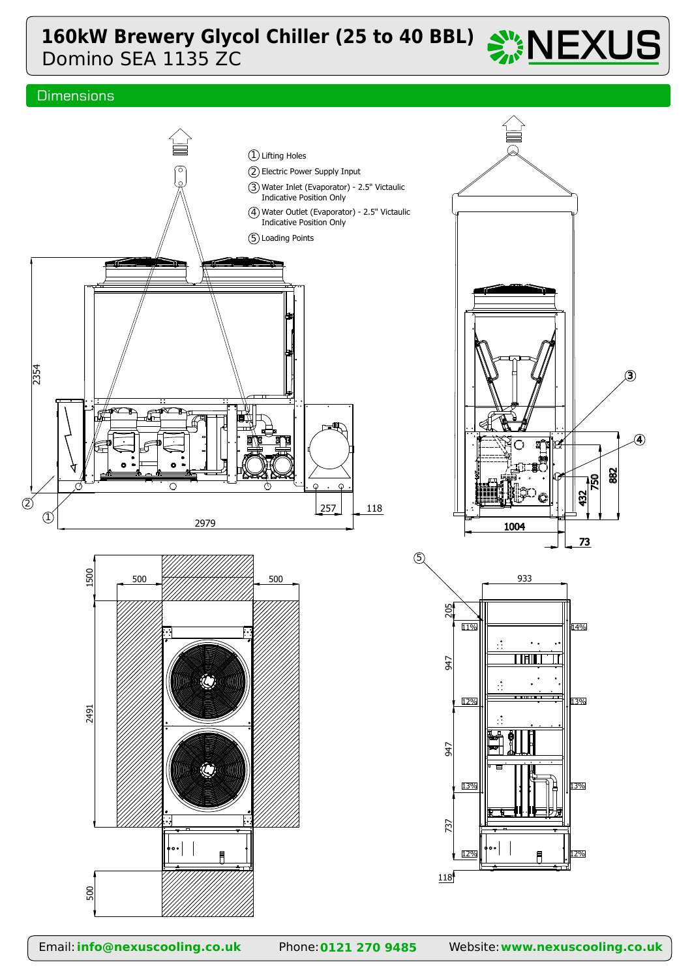# Domino SEA 1135 ZC **160kW Brewery Glycol Chiller (25 to 40 BBL)**  $\frac{100}{200}$  NEXUS

## **Dimensions**

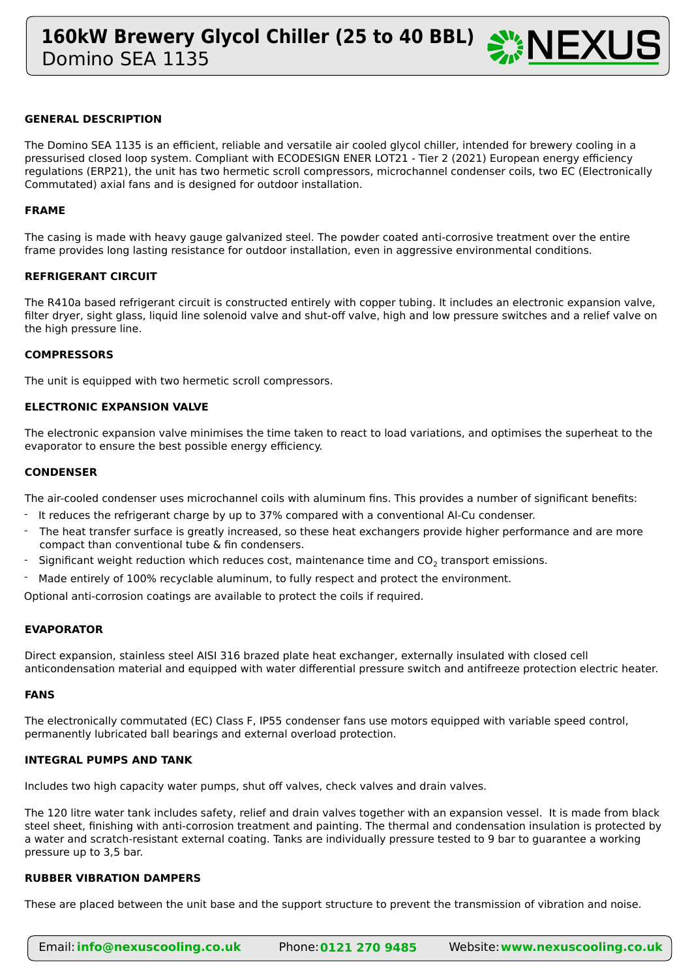

### **GENERAL DESCRIPTION**

The Domino SEA 1135 is an efficient, reliable and versatile air cooled glycol chiller, intended for brewery cooling in a pressurised closed loop system. Compliant with ECODESIGN ENER LOT21 - Tier 2 (2021) European energy efficiency regulations (ERP21), the unit has two hermetic scroll compressors, microchannel condenser coils, two EC (Electronically Commutated) axial fans and is designed for outdoor installation.

#### **FRAME**

The casing is made with heavy gauge galvanized steel. The powder coated anti-corrosive treatment over the entire frame provides long lasting resistance for outdoor installation, even in aggressive environmental conditions.

#### **REFRIGERANT CIRCUIT**

The R410a based refrigerant circuit is constructed entirely with copper tubing. It includes an electronic expansion valve, filter dryer, sight glass, liquid line solenoid valve and shut-off valve, high and low pressure switches and a relief valve on the high pressure line.

#### **COMPRESSORS**

The unit is equipped with two hermetic scroll compressors.

#### **ELECTRONIC EXPANSION VALVE**

The electronic expansion valve minimises the time taken to react to load variations, and optimises the superheat to the evaporator to ensure the best possible energy efficiency.

#### **CONDENSER**

The air-cooled condenser uses microchannel coils with aluminum fins. This provides a number of significant benefits:

- It reduces the refrigerant charge by up to 37% compared with a conventional Al-Cu condenser.
- The heat transfer surface is greatly increased, so these heat exchangers provide higher performance and are more compact than conventional tube & fin condensers. -
- Significant weight reduction which reduces cost, maintenance time and  $CO<sub>2</sub>$  transport emissions. -
- Made entirely of 100% recyclable aluminum, to fully respect and protect the environment. -

Optional anti-corrosion coatings are available to protect the coils if required.

#### **EVAPORATOR**

Direct expansion, stainless steel AISI 316 brazed plate heat exchanger, externally insulated with closed cell anticondensation material and equipped with water differential pressure switch and antifreeze protection electric heater.

#### **FANS**

The electronically commutated (EC) Class F, IP55 condenser fans use motors equipped with variable speed control, permanently lubricated ball bearings and external overload protection.

#### **INTEGRAL PUMPS AND TANK**

Includes two high capacity water pumps, shut off valves, check valves and drain valves.

The 120 litre water tank includes safety, relief and drain valves together with an expansion vessel. It is made from black steel sheet, finishing with anti-corrosion treatment and painting. The thermal and condensation insulation is protected by a water and scratch-resistant external coating. Tanks are individually pressure tested to 9 bar to guarantee a working pressure up to 3,5 bar.

#### **RUBBER VIBRATION DAMPERS**

These are placed between the unit base and the support structure to prevent the transmission of vibration and noise.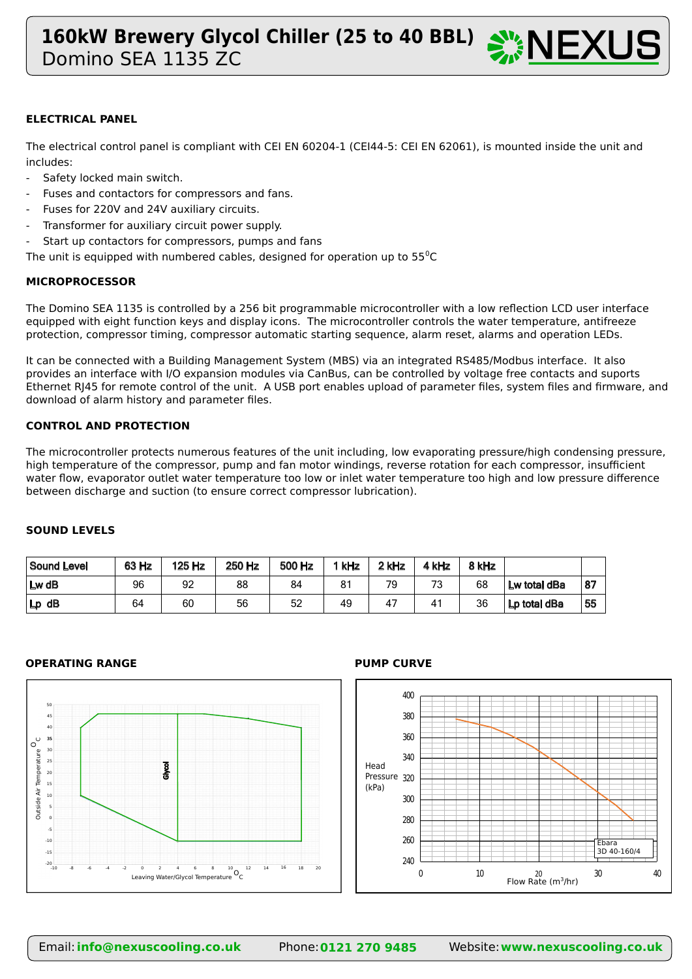

### **ELECTRICAL PANEL**

The electrical control panel is compliant with CEI EN 60204-1 (CEI44-5: CEI EN 62061), is mounted inside the unit and includes:

- Safety locked main switch.
- Fuses and contactors for compressors and fans.
- Fuses for 220V and 24V auxiliary circuits.
- Transformer for auxiliary circuit power supply.
- Start up contactors for compressors, pumps and fans

The unit is equipped with numbered cables, designed for operation up to  $55^{\circ}$ C

### **MICROPROCESSOR**

The Domino SEA 1135 is controlled by a 256 bit programmable microcontroller with a low reflection LCD user interface equipped with eight function keys and display icons. The microcontroller controls the water temperature, antifreeze protection, compressor timing, compressor automatic starting sequence, alarm reset, alarms and operation LEDs.

It can be connected with a Building Management System (MBS) via an integrated RS485/Modbus interface. It also provides an interface with I/O expansion modules via CanBus, can be controlled by voltage free contacts and suports Ethernet RJ45 for remote control of the unit. A USB port enables upload of parameter files, system files and firmware, and download of alarm history and parameter files.

#### **CONTROL AND PROTECTION**

The microcontroller protects numerous features of the unit including, low evaporating pressure/high condensing pressure, high temperature of the compressor, pump and fan motor windings, reverse rotation for each compressor, insufficient water flow, evaporator outlet water temperature too low or inlet water temperature too high and low pressure difference between discharge and suction (to ensure correct compressor lubrication).

### **SOUND LEVELS**

| Sound Level | 63 Hz | 125 Hz | 250 Hz | 500 Hz | `kHz | 2 kHz | kHz | 8 kHz |              |     |
|-------------|-------|--------|--------|--------|------|-------|-----|-------|--------------|-----|
| $Lw$ dB     | 96    | 92     | 88     | 84     | 81   | 79    | 73  | 68    | Lw total dBa | 187 |
| $Lp$ dB     | 64    | 60     | 56     | 52     | 49   | 47    | 41  | 36    | Lp total dBa | 55  |

#### **OPERATING RANGE PUMP CURVE**